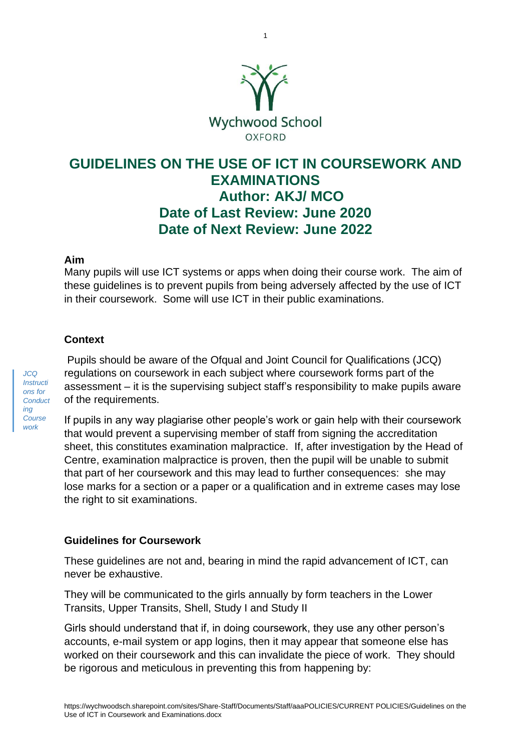

1

# **GUIDELINES ON THE USE OF ICT IN COURSEWORK AND EXAMINATIONS Author: AKJ/ MCO Date of Last Review: June 2020 Date of Next Review: June 2022**

#### **Aim**

Many pupils will use ICT systems or apps when doing their course work. The aim of these guidelines is to prevent pupils from being adversely affected by the use of ICT in their coursework. Some will use ICT in their public examinations.

#### **Context**

*JCQ Instructi ons for Conduct ing Course work* 

Pupils should be aware of the Ofqual and Joint Council for Qualifications (JCQ) regulations on coursework in each subject where coursework forms part of the assessment – it is the supervising subject staff's responsibility to make pupils aware of the requirements.

If pupils in any way plagiarise other people's work or gain help with their coursework that would prevent a supervising member of staff from signing the accreditation sheet, this constitutes examination malpractice. If, after investigation by the Head of Centre, examination malpractice is proven, then the pupil will be unable to submit that part of her coursework and this may lead to further consequences: she may lose marks for a section or a paper or a qualification and in extreme cases may lose the right to sit examinations.

#### **Guidelines for Coursework**

These guidelines are not and, bearing in mind the rapid advancement of ICT, can never be exhaustive.

They will be communicated to the girls annually by form teachers in the Lower Transits, Upper Transits, Shell, Study I and Study II

Girls should understand that if, in doing coursework, they use any other person's accounts, e-mail system or app logins, then it may appear that someone else has worked on their coursework and this can invalidate the piece of work. They should be rigorous and meticulous in preventing this from happening by: